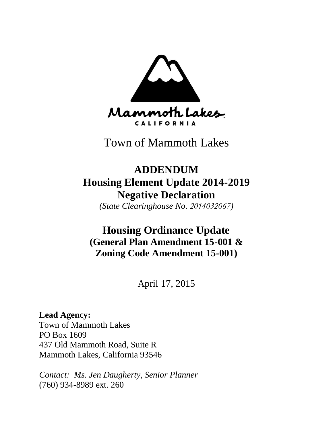

Town of Mammoth Lakes

# **ADDENDUM Housing Element Update 2014-2019 Negative Declaration**

*(State Clearinghouse No. 2014032067)*

# **Housing Ordinance Update (General Plan Amendment 15-001 & Zoning Code Amendment 15-001)**

April 17, 2015

# **Lead Agency:**

Town of Mammoth Lakes PO Box 1609 437 Old Mammoth Road, Suite R Mammoth Lakes, California 93546

*Contact: Ms. Jen Daugherty, Senior Planner* (760) 934-8989 ext. 260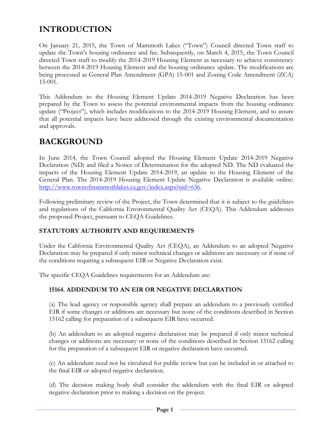# **INTRODUCTION**

On January 21, 2015, the Town of Mammoth Lakes ("Town") Council directed Town staff to update the Town's housing ordinance and fee. Subsequently, on March 4, 2015, the Town Council directed Town staff to modify the 2014-2019 Housing Element as necessary to achieve consistency between the 2014-2019 Housing Element and the housing ordinance update. The modifications are being processed as General Plan Amendment (GPA) 15-001 and Zoning Code Amendment (ZCA) 15-001.

This Addendum to the Housing Element Update 2014-2019 Negative Declaration has been prepared by the Town to assess the potential environmental impacts from the housing ordinance update ("Project"), which includes modifications to the 2014-2019 Housing Element, and to assure that all potential impacts have been addressed through the existing environmental documentation and approvals.

# **BACKGROUND**

In June 2014, the Town Council adopted the Housing Element Update 2014-2019 Negative Declaration (ND) and filed a Notice of Determination for the adopted ND. The ND evaluated the impacts of the Housing Element Update 2014-2019, an update to the Housing Element of the General Plan. The 2014-2019 Housing Element Update Negative Declaration is available online: [http://www.townofmammothlakes.ca.gov/index.aspx?nid=636.](http://www.townofmammothlakes.ca.gov/index.aspx?nid=636) 

Following preliminary review of the Project, the Town determined that it is subject to the guidelines and regulations of the California Environmental Quality Act (CEQA). This Addendum addresses the proposed Project, pursuant to CEQA Guidelines.

# **STATUTORY AUTHORITY AND REQUIREMENTS**

Under the California Environmental Quality Act (CEQA), an Addendum to an adopted Negative Declaration may be prepared if only minor technical changes or additions are necessary or if none of the conditions requiring a subsequent EIR or Negative Declaration exist.

The specific CEQA Guidelines requirements for an Addendum are:

# **15164. ADDENDUM TO AN EIR OR NEGATIVE DECLARATION**

(a) The lead agency or responsible agency shall prepare an addendum to a previously certified EIR if some changes or additions are necessary but none of the conditions described in Section 15162 calling for preparation of a subsequent EIR have occurred.

(b) An addendum to an adopted negative declaration may be prepared if only minor technical changes or additions are necessary or none of the conditions described in Section 15162 calling for the preparation of a subsequent EIR or negative declaration have occurred.

(c) An addendum need not be circulated for public review but can be included in or attached to the final EIR or adopted negative declaration.

(d) The decision making body shall consider the addendum with the final EIR or adopted negative declaration prior to making a decision on the project.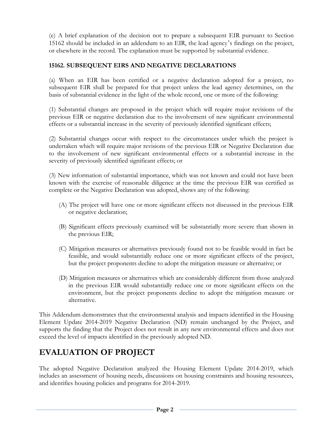(e) A brief explanation of the decision not to prepare a subsequent EIR pursuant to Section 15162 should be included in an addendum to an EIR, the lead agency's findings on the project, or elsewhere in the record. The explanation must be supported by substantial evidence.

# **15162. SUBSEQUENT EIRS AND NEGATIVE DECLARATIONS**

(a) When an EIR has been certified or a negative declaration adopted for a project, no subsequent EIR shall be prepared for that project unless the lead agency determines, on the basis of substantial evidence in the light of the whole record, one or more of the following:

(1) Substantial changes are proposed in the project which will require major revisions of the previous EIR or negative declaration due to the involvement of new significant environmental effects or a substantial increase in the severity of previously identified significant effects;

(2) Substantial changes occur with respect to the circumstances under which the project is undertaken which will require major revisions of the previous EIR or Negative Declaration due to the involvement of new significant environmental effects or a substantial increase in the severity of previously identified significant effects; or

(3) New information of substantial importance, which was not known and could not have been known with the exercise of reasonable diligence at the time the previous EIR was certified as complete or the Negative Declaration was adopted, shows any of the following:

- (A) The project will have one or more significant effects not discussed in the previous EIR or negative declaration;
- (B) Significant effects previously examined will be substantially more severe than shown in the previous EIR;
- (C) Mitigation measures or alternatives previously found not to be feasible would in fact be feasible, and would substantially reduce one or more significant effects of the project, but the project proponents decline to adopt the mitigation measure or alternative; or
- (D) Mitigation measures or alternatives which are considerably different from those analyzed in the previous EIR would substantially reduce one or more significant effects on the environment, but the project proponents decline to adopt the mitigation measure or alternative.

This Addendum demonstrates that the environmental analysis and impacts identified in the Housing Element Update 2014-2019 Negative Declaration (ND) remain unchanged by the Project, and supports the finding that the Project does not result in any new environmental effects and does not exceed the level of impacts identified in the previously adopted ND.

# **EVALUATION OF PROJECT**

The adopted Negative Declaration analyzed the Housing Element Update 2014-2019, which includes an assessment of housing needs, discussions on housing constraints and housing resources, and identifies housing policies and programs for 2014-2019.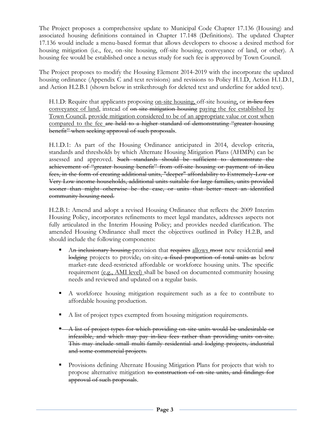The Project proposes a comprehensive update to Municipal Code Chapter 17.136 (Housing) and associated housing definitions contained in Chapter 17.148 (Definitions). The updated Chapter 17.136 would include a menu-based format that allows developers to choose a desired method for housing mitigation (i.e., fee, on-site housing, off-site housing, conveyance of land, or other). A housing fee would be established once a nexus study for such fee is approved by Town Council.

The Project proposes to modify the Housing Element 2014-2019 with the incorporate the updated housing ordinance (Appendix C and text revisions) and revisions to Policy H.1.D, Action H.1.D.1, and Action H.2.B.1 (shown below in strikethrough for deleted text and underline for added text).

H.1.D: Require that applicants proposing <u>on-site housing</u>, off-site housing, or in-lieu fees conveyance of land, instead of on-site mitigation housing paying the fee established by Town Council, provide mitigation considered to be of an appropriate value or cost when compared to the fee are held to a higher standard of demonstrating "greater housing benefit" when seeking approval of such proposals.

H.1.D.1: As part of the Housing Ordinance anticipated in 2014, develop criteria, standards and thresholds by which Alternate Housing Mitigation Plans (AHMPs) can be assessed and approved. Such standards should be sufficient to demonstrate the achievement of "greater housing benefit" from off-site housing or payment of in-lieu fees, in the form of creating additional units, "deeper" affordability to Extremely-Low or Very Low income households, additional units suitable for large families, units provided sooner than might otherwise be the case, or units that better meet an identified community housing need.

H.2.B.1: Amend and adopt a revised Housing Ordinance that reflects the 2009 Interim Housing Policy, incorporates refinements to meet legal mandates, addresses aspects not fully articulated in the Interim Housing Policy; and provides needed clarification. The amended Housing Ordinance shall meet the objectives outlined in Policy H.2.B, and should include the following components:

- An inclusionary housing provision that requires allows most new residential and lodging projects to provide, on-site, a fixed proportion of total units as below market-rate deed-restricted affordable or workforce housing units. The specific requirement (e.g., AMI level) shall be based on documented community housing needs and reviewed and updated on a regular basis.
- A workforce housing mitigation requirement such as a fee to contribute to affordable housing production.
- A list of project types exempted from housing mitigation requirements.
- A list of project types for which providing on-site units would be undesirable or infeasible, and which may pay in-lieu fees rather than providing units on-site. This may include small multi-family residential and lodging projects, industrial and some commercial projects.
- Provisions defining Alternate Housing Mitigation Plans for projects that wish to propose alternative mitigation to construction of on-site units, and findings for approval of such proposals.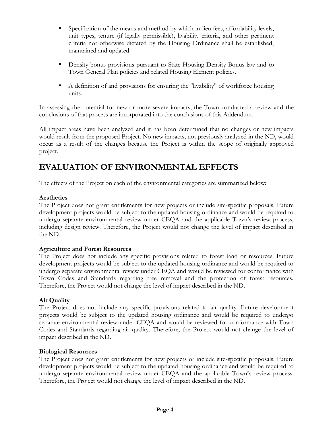- Specification of the means and method by which in-lieu fees, affordability levels, unit types, tenure (if legally permissible), livability criteria, and other pertinent criteria not otherwise dictated by the Housing Ordinance shall be established, maintained and updated.
- **Density bonus provisions pursuant to State Housing Density Bonus law and to** Town General Plan policies and related Housing Element policies.
- A definition of and provisions for ensuring the "livability" of workforce housing units.

In assessing the potential for new or more severe impacts, the Town conducted a review and the conclusions of that process are incorporated into the conclusions of this Addendum.

All impact areas have been analyzed and it has been determined that no changes or new impacts would result from the proposed Project. No new impacts, not previously analyzed in the ND, would occur as a result of the changes because the Project is within the scope of originally approved project.

# **EVALUATION OF ENVIRONMENTAL EFFECTS**

The effects of the Project on each of the environmental categories are summarized below:

#### **Aesthetics**

The Project does not grant entitlements for new projects or include site-specific proposals. Future development projects would be subject to the updated housing ordinance and would be required to undergo separate environmental review under CEQA and the applicable Town's review process, including design review. Therefore, the Project would not change the level of impact described in the ND.

### **Agriculture and Forest Resources**

The Project does not include any specific provisions related to forest land or resources. Future development projects would be subject to the updated housing ordinance and would be required to undergo separate environmental review under CEQA and would be reviewed for conformance with Town Codes and Standards regarding tree removal and the protection of forest resources. Therefore, the Project would not change the level of impact described in the ND.

### **Air Quality**

The Project does not include any specific provisions related to air quality. Future development projects would be subject to the updated housing ordinance and would be required to undergo separate environmental review under CEQA and would be reviewed for conformance with Town Codes and Standards regarding air quality. Therefore, the Project would not change the level of impact described in the ND.

### **Biological Resources**

The Project does not grant entitlements for new projects or include site-specific proposals. Future development projects would be subject to the updated housing ordinance and would be required to undergo separate environmental review under CEQA and the applicable Town's review process. Therefore, the Project would not change the level of impact described in the ND.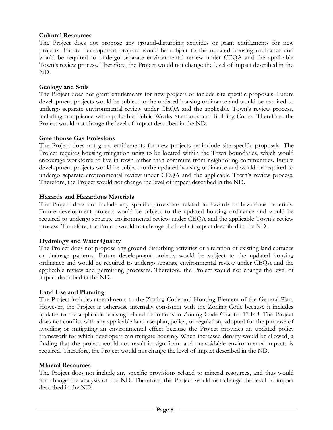#### **Cultural Resources**

The Project does not propose any ground-disturbing activities or grant entitlements for new projects. Future development projects would be subject to the updated housing ordinance and would be required to undergo separate environmental review under CEQA and the applicable Town's review process. Therefore, the Project would not change the level of impact described in the ND.

#### **Geology and Soils**

The Project does not grant entitlements for new projects or include site-specific proposals. Future development projects would be subject to the updated housing ordinance and would be required to undergo separate environmental review under CEQA and the applicable Town's review process, including compliance with applicable Public Works Standards and Building Codes. Therefore, the Project would not change the level of impact described in the ND.

#### **Greenhouse Gas Emissions**

The Project does not grant entitlements for new projects or include site-specific proposals. The Project requires housing mitigation units to be located within the Town boundaries, which would encourage workforce to live in town rather than commute from neighboring communities. Future development projects would be subject to the updated housing ordinance and would be required to undergo separate environmental review under CEQA and the applicable Town's review process. Therefore, the Project would not change the level of impact described in the ND.

#### **Hazards and Hazardous Materials**

The Project does not include any specific provisions related to hazards or hazardous materials. Future development projects would be subject to the updated housing ordinance and would be required to undergo separate environmental review under CEQA and the applicable Town's review process. Therefore, the Project would not change the level of impact described in the ND.

### **Hydrology and Water Quality**

The Project does not propose any ground-disturbing activities or alteration of existing land surfaces or drainage patterns. Future development projects would be subject to the updated housing ordinance and would be required to undergo separate environmental review under CEQA and the applicable review and permitting processes. Therefore, the Project would not change the level of impact described in the ND.

#### **Land Use and Planning**

The Project includes amendments to the Zoning Code and Housing Element of the General Plan. However, the Project is otherwise internally consistent with the Zoning Code because it includes updates to the applicable housing related definitions in Zoning Code Chapter 17.148. The Project does not conflict with any applicable land use plan, policy, or regulation, adopted for the purpose of avoiding or mitigating an environmental effect because the Project provides an updated policy framework for which developers can mitigate housing. When increased density would be allowed, a finding that the project would not result in significant and unavoidable environmental impacts is required. Therefore, the Project would not change the level of impact described in the ND.

#### **Mineral Resources**

The Project does not include any specific provisions related to mineral resources, and thus would not change the analysis of the ND. Therefore, the Project would not change the level of impact described in the ND.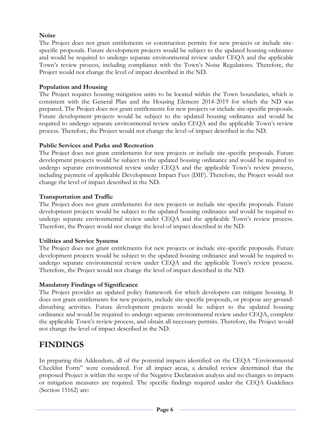## **Noise**

The Project does not grant entitlements or construction permits for new projects or include sitespecific proposals. Future development projects would be subject to the updated housing ordinance and would be required to undergo separate environmental review under CEQA and the applicable Town's review process, including compliance with the Town's Noise Regulations. Therefore, the Project would not change the level of impact described in the ND.

### **Population and Housing**

The Project requires housing mitigation units to be located within the Town boundaries, which is consistent with the General Plan and the Housing Element 2014-2019 for which the ND was prepared. The Project does not grant entitlements for new projects or include site-specific proposals. Future development projects would be subject to the updated housing ordinance and would be required to undergo separate environmental review under CEQA and the applicable Town's review process. Therefore, the Project would not change the level of impact described in the ND.

# **Public Services and Parks and Recreation**

The Project does not grant entitlements for new projects or include site-specific proposals. Future development projects would be subject to the updated housing ordinance and would be required to undergo separate environmental review under CEQA and the applicable Town's review process, including payment of applicable Development Impact Fees (DIF). Therefore, the Project would not change the level of impact described in the ND.

# **Transportation and Traffic**

The Project does not grant entitlements for new projects or include site-specific proposals. Future development projects would be subject to the updated housing ordinance and would be required to undergo separate environmental review under CEQA and the applicable Town's review process. Therefore, the Project would not change the level of impact described in the ND.

### **Utilities and Service Systems**

The Project does not grant entitlements for new projects or include site-specific proposals. Future development projects would be subject to the updated housing ordinance and would be required to undergo separate environmental review under CEQA and the applicable Town's review process. Therefore, the Project would not change the level of impact described in the ND.

### **Mandatory Findings of Significance**

The Project provides an updated policy framework for which developers can mitigate housing. It does not grant entitlements for new projects, include site-specific proposals, or propose any grounddisturbing activities. Future development projects would be subject to the updated housing ordinance and would be required to undergo separate environmental review under CEQA, complete the applicable Town's review process, and obtain all necessary permits. Therefore, the Project would not change the level of impact described in the ND.

# **FINDINGS**

In preparing this Addendum, all of the potential impacts identified on the CEQA "Environmental Checklist Form" were considered. For all impact areas, a detailed review determined that the proposed Project is within the scope of the Negative Declaration analysis and no changes to impacts or mitigation measures are required. The specific findings required under the CEQA Guidelines (Section 15162) are: